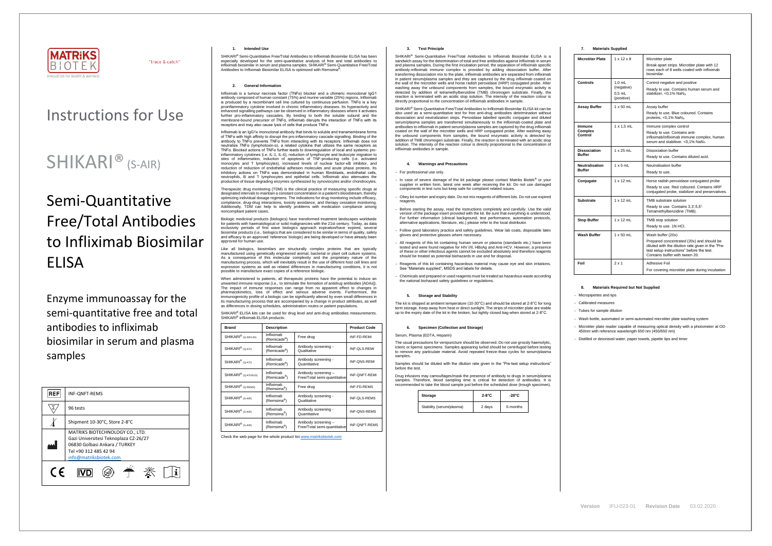

"trace & catch"

# Instructions for Use

# SHIKARI<sup>®</sup> (S-AIR)

# Semi-Quantitative Free/Total Antibodies to Infliximab Biosimilar ELISA

Enzyme immunoassay for the semi-quantitative free and total antibodies to infliximab biosimilar in serum and plasma samples

SHIKARI® Semi-Quantitative Free/Total Antibodies to Infliximab Biosimilar ELISA has been especially developed for the semi-quantitative analysis of free and total antibodies to infliximab biosimilar in serum and plasma samples. SHIKARI® Semi-Quantitative Free/Total Antibodies to Infliximab Biosimilar ELISA is optimized with Remsima



# **1. Intended Use**

### **2. General Information**

Infliximab is a tumour necrosis factor (TNFα) blocker and a chimeric monoclonal IgG1 antibody composed of human constant (75%) and murine variable (25%) regions. Infliximab is produced by a recombinant cell line cultured by continuous perfusion. TNFα is a key proinflammatory cytokine involved in chronic inflammatory diseases. Its hyperactivity and enhanced signalling pathways can be observed in inflammatory diseases where it activates further pro-inflammatory cascades. By binding to both the soluble subunit and the membrane-bound precursor of TNFα, infliximab disrupts the interaction of TNFα with its receptors and may also cause lysis of cells that produce TNFα.

Infliximab is an IgG1κ monoclonal antibody that binds to soluble and transmembrane forms of TNFα with high affinity to disrupt the pro-inflammatory cascade signalling. Binding of the antibody to TNFα prevents TNFα from interacting with its receptors. Infliximab does not neutralize TNFα (lymphotoxin-α), a related cytokine that utilizes the same receptors as TNFα. Blocked actions of TNFα further leads to downregulation of local and systemic proinflammatory cytokines (i.e. IL-1, IL-6), reduction of lymphocyte and leukocyte migration to sites of inflammation, induction of apoptosis of TNF-producing cells (i.e. activated monocytes and T lymphocytes), increased levels of nuclear factor-κB inhibitor, and reduction of reduction of endothelial adhesion molecules and acute phase proteins. Its inhibitory actions on TNFα was demonstrated in human fibroblasts, endothelial cells, neutrophils, B and T lymphocytes and epithelial cells. Infliximab also attenuates the production of tissue degrading enzymes synthesized by synoviocytes and/or chondrocytes.

When administered to patients, all therapeutic proteins have the potential to induce an wanted immune response (i.e., to stimulate the formation of antidrug antibodies [ADAs]). The impact of immune responses can range from no apparent effect to changes in pharmacokinetics, loss of effect and serious adverse events. Furthermore, the immunogenicity profile of a biologic can be significantly altered by even small differences in its manufacturing process that are accompanied by a change in product attributes, as well as differences in dosing schedules, administration routes or patient populations.

SHIKARI<sup>®</sup> ELISA kits can be used for drug level and anti-drug antibodies measurements. SHIKARI<sup>®</sup> infliximab ELISA products:

Therapeutic drug monitoring (TDM) is the clinical practice of measuring specific drugs at designated intervals to maintain a constant concentration in a patient's bloodstream, thereby optimizing individual dosage regimens. The indications for drug monitoring include efficacy, compliance, drug-drug interactions, toxicity avoidance, and therapy cessation monitoring. Additionally, TDM can help to identify problems with medication compliance among noncompliant patient cases.

Biologic medicinal products (biologics) have transformed treatment landscapes worldwide for patients with haematological or solid malignancies with the 21st century. Today, as data exclusivity periods of first wave biologics approach expiration/have expired, several biosimilar products (i.e., biologics that are considered to be similar in terms of quality, safety and efficacy to an approved 'reference' biologic) are being developed or have already been approved for human use.

Like all biologics, biosimilars are structurally complex proteins that are typically manufactured using genetically engineered animal, bacterial or plant cell culture systems. As a consequence of this molecular complexity and the proprietary nature of the manufacturing process, which will inevitably result in the use of different host cell lines and expression systems as well as related differences in manufacturing conditions, it is not possible to manufacture exact copies of a reference biologic.

> Samples should be diluted with the dilution rate given in the "Pre-test setup instructions" before the test.

| <b>Brand</b>                                                           | <b>Description</b>                    |                                                      | <b>Product Code</b>  |  |
|------------------------------------------------------------------------|---------------------------------------|------------------------------------------------------|----------------------|--|
| SHIKARI <sup>®</sup> (Q-INFLIXI)                                       | Infliximab<br>(Remicade®)             | Free drug                                            | INF-FD-REMI          |  |
| SHIKARI <sup>®</sup> (Q-ATI)                                           | Infliximab<br>(Remicade®)             | Antibody screening -<br>Qualitative                  | INF-QLS-REMI         |  |
| Infliximab<br>SHIKARI <sup>®</sup> (Q-ATI)<br>(Remicade <sup>®</sup> ) |                                       | Antibody screening -<br>Quantitative                 | INF-QNS-REMI         |  |
| SHIKARI <sup>®</sup> (Q-ATIDUO)                                        | Infliximab<br>(Remicade®)             | Antibody screening -<br>Free/Total semi-quantitative | <b>INF-ONFT-REMI</b> |  |
| SHIKARI <sup>®</sup> (Q-REMS)                                          | Infliximab<br>(Remsima <sup>®</sup> ) | Free drug                                            | <b>INF-FD-REMS</b>   |  |
| SHIKARI <sup>®</sup> (S-AIR)                                           | Infliximab<br>(Remsima <sup>®</sup> ) | Antibody screening -<br>Qualitative                  | <b>INF-QLS-REMS</b>  |  |
| SHIKARI <sup>®</sup> (S-AIR)                                           | Infliximab<br>(Remsima <sup>®</sup> ) | Antibody screening -<br>Quantitative                 | <b>INF-QNS-REMS</b>  |  |
| SHIKARI <sup>®</sup> (S-AIR)                                           | Infliximab<br>(Remsima <sup>®</sup> ) | Antibody screening -<br>Free/Total semi-quantitative | INF-QNFT-REMS        |  |

Check the web page for the whole product lis[t www.matriksbiotek.com](http://www.matriksbiotek.com/)

# **3. Test Principle**

SHIKARI® Semi-Quantitative Free/Total Antibodies to Infliximab Biosimilar ELISA is a sandwich assay for the determination of total and free antibodies against infliximab in serum and plasma samples. During the first incubation period, the separation of infliximab specific antibody-infliximab immune complex is provided by adding dissociation buffer. After transferring dissociation mix to the plate, infliximab antibodies are separated from infliximab in patient serum/plasma samples and they are captured by the drug infliximab coated on the wall of the microtiter wells and horse radish peroxidase (HRP) conjugated probe. After washing away the unbound components from samples, the bound enzymatic activity is detected by addition of tetramethylbenzidine (TMB) chromogen substrate. Finally, the reaction is terminated with an acidic stop solution. The intensity of the reaction colour is directly proportional to the concentration of infliximab antibodies in sample.

SHIKARI® Semi-Quantitative Free/Total Antibodies to Infliximab Biosimilar ELISA kit can be also used as a semi-quantitative test for free anti-drug antibodies determination without dissociation and neutralization steps. Peroxidase labelled specific conjugate and diluted serum/plasma samples are transferred simultaneously to the infliximab-coated plate and antibodies to infliximab in patient serum/plasma samples are captured by the drug infliximab coated on the wall of the microtiter wells and HRP conjugated probe. After washing away the unbound components from samples, the bound enzymatic activity is detected by addition of TMB chromogen substrate. Finally, the reaction is terminated with an acidic stop solution. The intensity of the reaction colour is directly proportional to the concentration of infliximab antibodies in sample.

#### **4. Warnings and Precautions**

- − For professional use only.
- − In case of severe damage of the kit package please contact Matriks Biotek® or your supplier in written form, latest one week after receiving the kit. Do not use damaged components in test runs but keep safe for complaint related issues.
- − Obey lot number and expiry date. Do not mix reagents of different lots. Do not use expired reagents.
- Before starting the assay, read the instructions completely and carefully. Use the valid version of the package insert provided with the kit. Be sure that everything is understood. For further information (clinical background, test performance, automation protocols, alternative applications, literature, etc.) please refer to the local distributor.
- − Follow good laboratory practice and safety guidelines. Wear lab coats, disposable latex gloves and protective glasses where necessary.
- − All reagents of this kit containing human serum or plasma (standards etc.) have been tested and were found negative for HIV I/II, HBsAg and Anti-HCV. However, a presence of these or other infectious agents cannot be excluded absolutely and therefore reagents should be treated as potential biohazards in use and for disposal.
- Reagents of this kit containing hazardous material may cause eye and skin irritations. See "Materials supplied", MSDS and labels for details.
- − Chemicals and prepared or used reagents must be treated as hazardous waste according the national biohazard safety guidelines or regulations.

#### **5. Storage and Stability**

The kit is shipped at ambient temperature (10-30°C) and should be stored at 2-8°C for long term storage. Keep away from heat or direct sunlight. The strips of microtiter plate are stable up to the expiry date of the kit in the broken, but tightly closed bag when stored at 2-8°C.

### **6. Specimen (Collection and Storage)**

Serum, Plasma (EDTA, Heparin)

The usual precautions for venipuncture should be observed. Do not use grossly haemolytic, icteric or lipemic specimens. Samples appearing turbid should be centrifuged before testing to remove any particulate material. Avoid repeated freeze-thaw cycles for serum/plasma samples.

Drug infusions may camouflages/mask the presence of antibody to drugs in serum/plasma samples. Therefore, blood sampling time is critical for detection of antibodies. It is recommended to take the blood sample just before the scheduled dose (trough specimen).

| Storage                  | $2-8$ °C | $-20^{\circ}$ C |
|--------------------------|----------|-----------------|
| Stability (serum/plasma) | 2 days   | 6 months        |

| <b>Materials Supplied</b><br>7. |  |
|---------------------------------|--|
|---------------------------------|--|

| <b>Microtiter Plate</b>              | $1 \times 12 \times 8$                           | Microtiter plate<br>Break apart strips. Microtiter plate with 12<br>rows each of 8 wells coated with infliximab<br>biosimilar.                                                                     |
|--------------------------------------|--------------------------------------------------|----------------------------------------------------------------------------------------------------------------------------------------------------------------------------------------------------|
| Controls                             | $1.0$ mL<br>(negative)<br>$0.5$ mL<br>(positive) | Control negative and positive<br>Ready to use. Contains human serum and<br>stabilizer. < 0.1% NaN <sub>3</sub> .                                                                                   |
| <b>Assay Buffer</b>                  | $1 \times 50$ mL                                 | Assay buffer<br>Ready to use. Blue coloured. Contains<br>proteins, $<$ 0,1% NaN <sub>3</sub> .                                                                                                     |
| Immune<br>Complex<br>Control         | $1 \times 1.5$ mL                                | Immune complex control<br>Ready to use. Contains anti-<br>infliximab/infliximab immune complex, human<br>serum and stabiliser. < 0,1% NaN <sub>3</sub> .                                           |
| <b>Dissociation</b><br><b>Buffer</b> | $1 \times 25$ mL                                 | Dissociation buffer<br>Ready to use. Contains diluted acid.                                                                                                                                        |
| Neutralisation<br><b>Buffer</b>      | $1 \times 5$ mL                                  | Neutralisation buffer<br>Ready to use.                                                                                                                                                             |
| Conjugate                            | $1 \times 12$ mL                                 | Horse radish peroxidase conjugated probe<br>Ready to use. Red coloured. Contains HRP<br>conjugated probe, stabilizer and preservatives.                                                            |
| Substrate                            | $1 \times 12$ mL                                 | TMB substrate solution<br>Ready to use. Contains 3,3',5,5'-<br>Tetramethylbenzidine (TMB).                                                                                                         |
| <b>Stop Buffer</b>                   | $1 \times 12$ mL                                 | TMB stop solution<br>Ready to use. 1N HCI.                                                                                                                                                         |
| Wash Buffer                          | $1 \times 50$ mL                                 | Wash buffer (20x)<br>Prepared concentrated (20x) and should be<br>diluted with the dilution rate given in the "Pre-<br>test setup instructions" before the test.<br>Contains buffer with tween 20. |
| Foil                                 | $2 \times 1$                                     | Adhesive Foil<br>For covering microtiter plate during incubation                                                                                                                                   |

# **8. Materials Required but Not Supplied**

− Micropipettes and tips

− Calibrated measures

− Tubes for sample dilution

− Wash bottle, automated or semi-automated microtiter plate washing system

− Microtiter plate reader capable of measuring optical density with a photometer at OD 450nm with reference wavelength 650 nm (450/650 nm)

− Distilled or deionised water, paper towels, pipette tips and timer